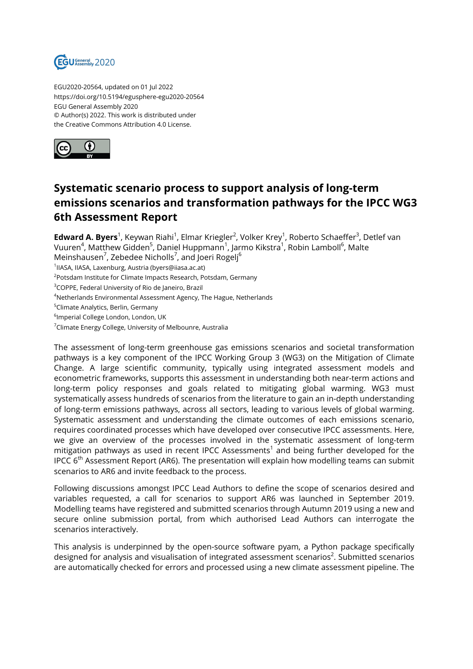

EGU2020-20564, updated on 01 Jul 2022 https://doi.org/10.5194/egusphere-egu2020-20564 EGU General Assembly 2020 © Author(s) 2022. This work is distributed under the Creative Commons Attribution 4.0 License.



## **Systematic scenario process to support analysis of long-term emissions scenarios and transformation pathways for the IPCC WG3 6th Assessment Report**

**Edward A. Byers**<sup>1</sup>, Keywan Riahi<sup>1</sup>, Elmar Kriegler<sup>2</sup>, Volker Krey<sup>1</sup>, Roberto Schaeffer<sup>3</sup>, Detlef van Vuuren<sup>4</sup>, Matthew Gidden<sup>5</sup>, Daniel Huppmann<sup>1</sup>, Jarmo Kikstra<sup>1</sup>, Robin Lamboll<sup>6</sup>, Malte Meinshausen $^7$ , Zebedee Nicholls $^7$ , and Joeri Rogelj $^6$ 

1 IIASA, IIASA, Laxenburg, Austria (byers@iiasa.ac.at)

<sup>2</sup>Potsdam Institute for Climate Impacts Research, Potsdam, Germany

<sup>3</sup>COPPE, Federal University of Rio de Janeiro, Brazil

<sup>4</sup>Netherlands Environmental Assessment Agency, The Hague, Netherlands

<sup>5</sup>Climate Analytics, Berlin, Germany

6 Imperial College London, London, UK

<sup>7</sup>Climate Energy College, University of Melbounre, Australia

The assessment of long-term greenhouse gas emissions scenarios and societal transformation pathways is a key component of the IPCC Working Group 3 (WG3) on the Mitigation of Climate Change. A large scientific community, typically using integrated assessment models and econometric frameworks, supports this assessment in understanding both near-term actions and long-term policy responses and goals related to mitigating global warming. WG3 must systematically assess hundreds of scenarios from the literature to gain an in-depth understanding of long-term emissions pathways, across all sectors, leading to various levels of global warming. Systematic assessment and understanding the climate outcomes of each emissions scenario, requires coordinated processes which have developed over consecutive IPCC assessments. Here, we give an overview of the processes involved in the systematic assessment of long-term mitigation pathways as used in recent IPCC Assessments $^{\rm 1}$  and being further developed for the IPCC  $6<sup>th</sup>$  Assessment Report (AR6). The presentation will explain how modelling teams can submit scenarios to AR6 and invite feedback to the process.

Following discussions amongst IPCC Lead Authors to define the scope of scenarios desired and variables requested, a call for scenarios to support AR6 was launched in September 2019. Modelling teams have registered and submitted scenarios through Autumn 2019 using a new and secure online submission portal, from which authorised Lead Authors can interrogate the scenarios interactively.

This analysis is underpinned by the open-source software pyam, a Python package specifically designed for analysis and visualisation of integrated assessment scenarios $^2$ . Submitted scenarios are automatically checked for errors and processed using a new climate assessment pipeline. The